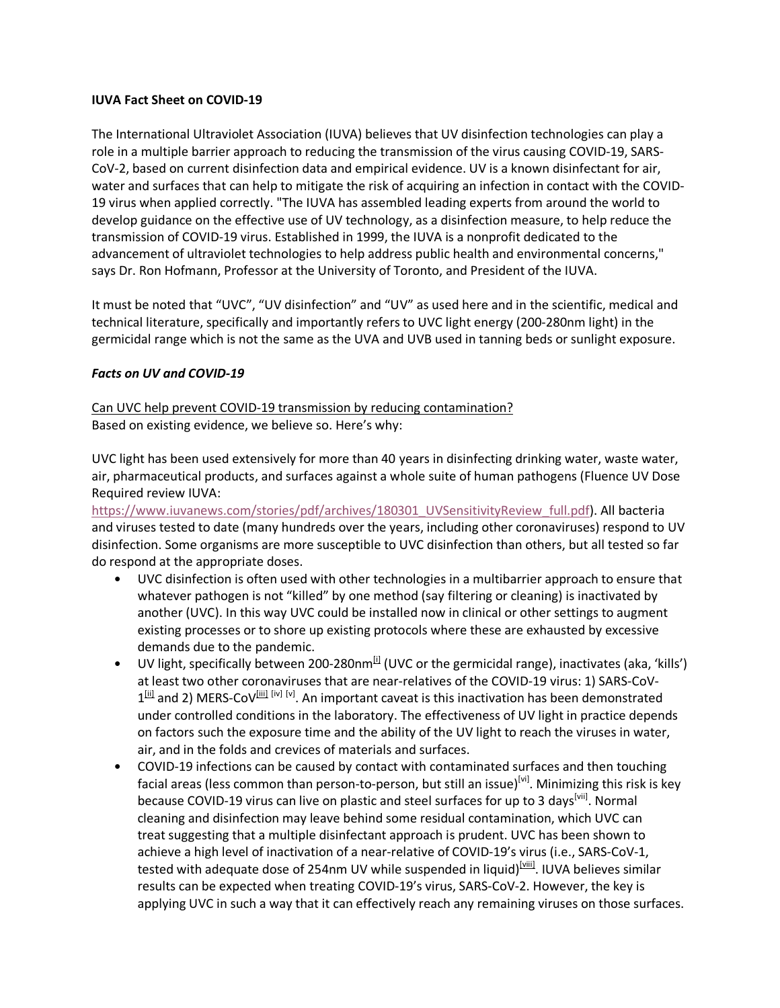## IUVA Fact Sheet on COVID-19

The International Ultraviolet Association (IUVA) believes that UV disinfection technologies can play a role in a multiple barrier approach to reducing the transmission of the virus causing COVID-19, SARS-CoV-2, based on current disinfection data and empirical evidence. UV is a known disinfectant for air, water and surfaces that can help to mitigate the risk of acquiring an infection in contact with the COVID-19 virus when applied correctly. "The IUVA has assembled leading experts from around the world to develop guidance on the effective use of UV technology, as a disinfection measure, to help reduce the transmission of COVID-19 virus. Established in 1999, the IUVA is a nonprofit dedicated to the advancement of ultraviolet technologies to help address public health and environmental concerns," says Dr. Ron Hofmann, Professor at the University of Toronto, and President of the IUVA.

It must be noted that "UVC", "UV disinfection" and "UV" as used here and in the scientific, medical and technical literature, specifically and importantly refers to UVC light energy (200-280nm light) in the germicidal range which is not the same as the UVA and UVB used in tanning beds or sunlight exposure.

## Facts on UV and COVID-19

Can UVC help prevent COVID-19 transmission by reducing contamination? Based on existing evidence, we believe so. Here's why:

UVC light has been used extensively for more than 40 years in disinfecting drinking water, waste water, air, pharmaceutical products, and surfaces against a whole suite of human pathogens (Fluence UV Dose Required review IUVA:

https://www.iuvanews.com/stories/pdf/archives/180301\_UVSensitivityReview\_full.pdf). All bacteria and viruses tested to date (many hundreds over the years, including other coronaviruses) respond to UV disinfection. Some organisms are more susceptible to UVC disinfection than others, but all tested so far do respond at the appropriate doses.

- UVC disinfection is often used with other technologies in a multibarrier approach to ensure that whatever pathogen is not "killed" by one method (say filtering or cleaning) is inactivated by another (UVC). In this way UVC could be installed now in clinical or other settings to augment existing processes or to shore up existing protocols where these are exhausted by excessive demands due to the pandemic.
- UV light, specifically between 200-280nm $^{[i]}$  (UVC or the germicidal range), inactivates (aka, 'kills') at least two other coronaviruses that are near-relatives of the COVID-19 virus: 1) SARS-CoV- $1<sup>[ii]</sup>$  and 2) MERS-CoV $^{[iii]}$   $^{[iv]}$   $^{[v]}$ . An important caveat is this inactivation has been demonstrated under controlled conditions in the laboratory. The effectiveness of UV light in practice depends on factors such the exposure time and the ability of the UV light to reach the viruses in water, air, and in the folds and crevices of materials and surfaces.
- COVID-19 infections can be caused by contact with contaminated surfaces and then touching facial areas (less common than person-to-person, but still an issue)<sup>[vi]</sup>. Minimizing this risk is key because COVID-19 virus can live on plastic and steel surfaces for up to 3 days<sup>[vii]</sup>. Normal cleaning and disinfection may leave behind some residual contamination, which UVC can treat suggesting that a multiple disinfectant approach is prudent. UVC has been shown to achieve a high level of inactivation of a near-relative of COVID-19's virus (i.e., SARS-CoV-1, tested with adequate dose of 254nm UV while suspended in liquid)<sup>[viii]</sup>. IUVA believes similar results can be expected when treating COVID-19's virus, SARS-CoV-2. However, the key is applying UVC in such a way that it can effectively reach any remaining viruses on those surfaces.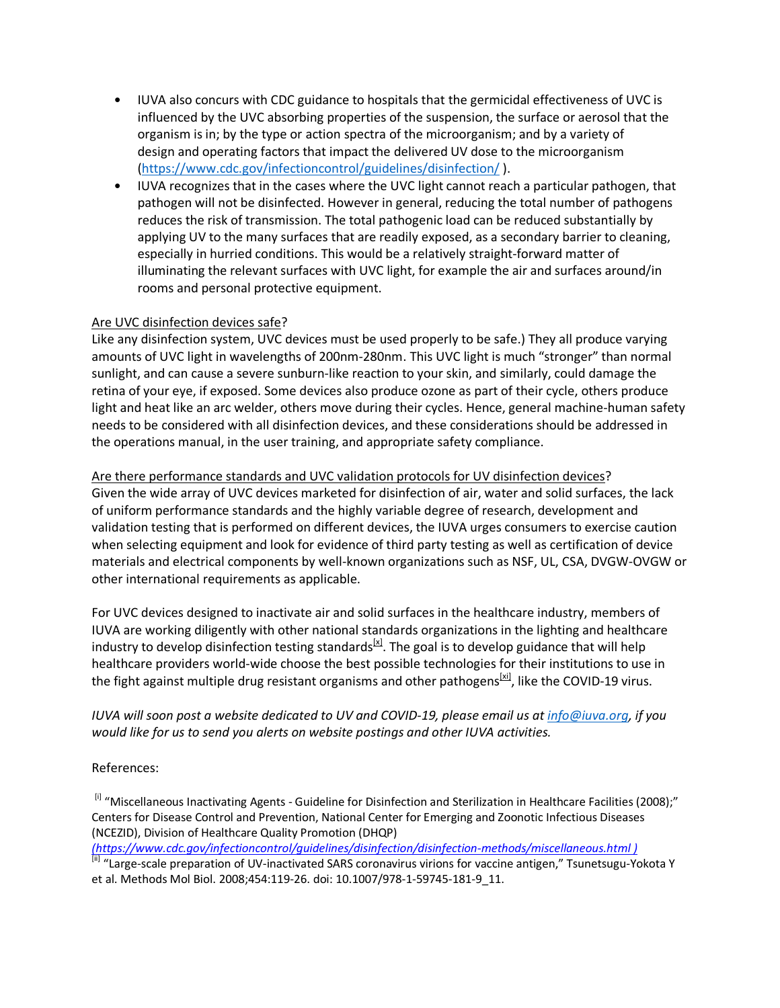- IUVA also concurs with CDC guidance to hospitals that the germicidal effectiveness of UVC is influenced by the UVC absorbing properties of the suspension, the surface or aerosol that the organism is in; by the type or action spectra of the microorganism; and by a variety of design and operating factors that impact the delivered UV dose to the microorganism (https://www.cdc.gov/infectioncontrol/guidelines/disinfection/ ).
- IUVA recognizes that in the cases where the UVC light cannot reach a particular pathogen, that pathogen will not be disinfected. However in general, reducing the total number of pathogens reduces the risk of transmission. The total pathogenic load can be reduced substantially by applying UV to the many surfaces that are readily exposed, as a secondary barrier to cleaning, especially in hurried conditions. This would be a relatively straight-forward matter of illuminating the relevant surfaces with UVC light, for example the air and surfaces around/in rooms and personal protective equipment.

## Are UVC disinfection devices safe?

Like any disinfection system, UVC devices must be used properly to be safe.) They all produce varying amounts of UVC light in wavelengths of 200nm-280nm. This UVC light is much "stronger" than normal sunlight, and can cause a severe sunburn-like reaction to your skin, and similarly, could damage the retina of your eye, if exposed. Some devices also produce ozone as part of their cycle, others produce light and heat like an arc welder, others move during their cycles. Hence, general machine-human safety needs to be considered with all disinfection devices, and these considerations should be addressed in the operations manual, in the user training, and appropriate safety compliance.

Are there performance standards and UVC validation protocols for UV disinfection devices? Given the wide array of UVC devices marketed for disinfection of air, water and solid surfaces, the lack of uniform performance standards and the highly variable degree of research, development and validation testing that is performed on different devices, the IUVA urges consumers to exercise caution when selecting equipment and look for evidence of third party testing as well as certification of device materials and electrical components by well-known organizations such as NSF, UL, CSA, DVGW-OVGW or other international requirements as applicable.

For UVC devices designed to inactivate air and solid surfaces in the healthcare industry, members of IUVA are working diligently with other national standards organizations in the lighting and healthcare industry to develop disinfection testing standards $^{[x]}$ . The goal is to develop guidance that will help healthcare providers world-wide choose the best possible technologies for their institutions to use in the fight against multiple drug resistant organisms and other pathogens<sup>[xi]</sup>, like the COVID-19 virus.

# IUVA will soon post a website dedicated to UV and COVID-19, please email us at info@iuva.org, if you would like for us to send you alerts on website postings and other IUVA activities.

## References:

[i] "Miscellaneous Inactivating Agents - Guideline for Disinfection and Sterilization in Healthcare Facilities (2008);" Centers for Disease Control and Prevention, National Center for Emerging and Zoonotic Infectious Diseases (NCEZID), Division of Healthcare Quality Promotion (DHQP)

(https://www.cdc.gov/infectioncontrol/guidelines/disinfection/disinfection-methods/miscellaneous.html )

[ii] "Large-scale preparation of UV-inactivated SARS coronavirus virions for vaccine antigen," Tsunetsugu-Yokota Y et al. Methods Mol Biol. 2008;454:119-26. doi: 10.1007/978-1-59745-181-9\_11.